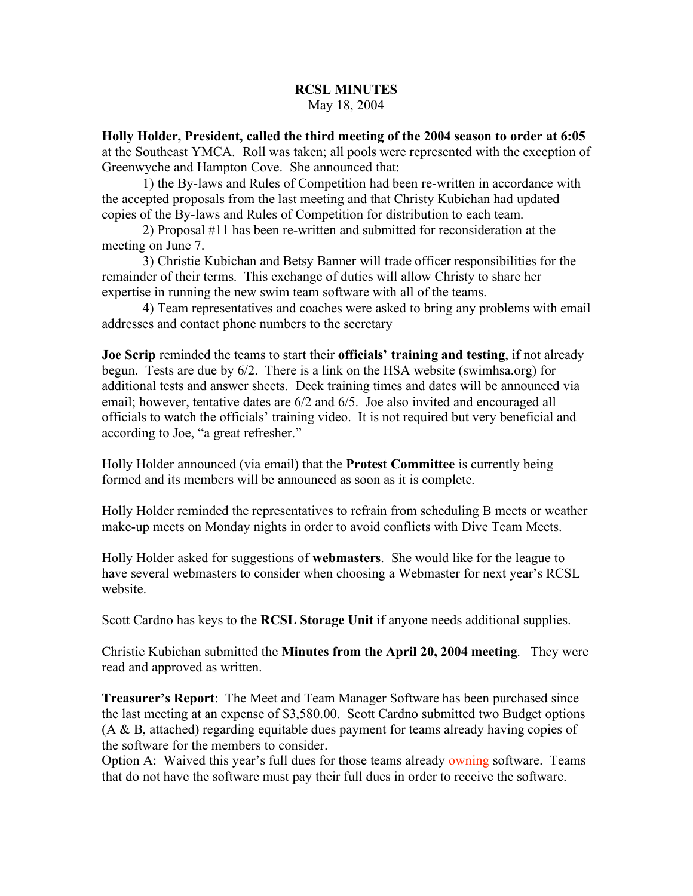## **RCSL MINUTES** May 18, 2004

**Holly Holder, President, called the third meeting of the 2004 season to order at 6:05** at the Southeast YMCA. Roll was taken; all pools were represented with the exception of Greenwyche and Hampton Cove. She announced that:

1) the By-laws and Rules of Competition had been re-written in accordance with the accepted proposals from the last meeting and that Christy Kubichan had updated copies of the By-laws and Rules of Competition for distribution to each team.

2) Proposal #11 has been re-written and submitted for reconsideration at the meeting on June 7.

3) Christie Kubichan and Betsy Banner will trade officer responsibilities for the remainder of their terms. This exchange of duties will allow Christy to share her expertise in running the new swim team software with all of the teams.

4) Team representatives and coaches were asked to bring any problems with email addresses and contact phone numbers to the secretary

**Joe Scrip** reminded the teams to start their **officials' training and testing**, if not already begun. Tests are due by 6/2. There is a link on the HSA website (swimhsa.org) for additional tests and answer sheets. Deck training times and dates will be announced via email; however, tentative dates are 6/2 and 6/5. Joe also invited and encouraged all officials to watch the officials' training video. It is not required but very beneficial and according to Joe, "a great refresher."

Holly Holder announced (via email) that the **Protest Committee** is currently being formed and its members will be announced as soon as it is complete.

Holly Holder reminded the representatives to refrain from scheduling B meets or weather make-up meets on Monday nights in order to avoid conflicts with Dive Team Meets.

Holly Holder asked for suggestions of **webmasters**. She would like for the league to have several webmasters to consider when choosing a Webmaster for next year's RCSL website.

Scott Cardno has keys to the **RCSL Storage Unit** if anyone needs additional supplies.

Christie Kubichan submitted the **Minutes from the April 20, 2004 meeting**. They were read and approved as written.

**Treasurer's Report**: The Meet and Team Manager Software has been purchased since the last meeting at an expense of \$3,580.00. Scott Cardno submitted two Budget options (A & B, attached) regarding equitable dues payment for teams already having copies of the software for the members to consider.

Option A: Waived this year's full dues for those teams already owning software. Teams that do not have the software must pay their full dues in order to receive the software.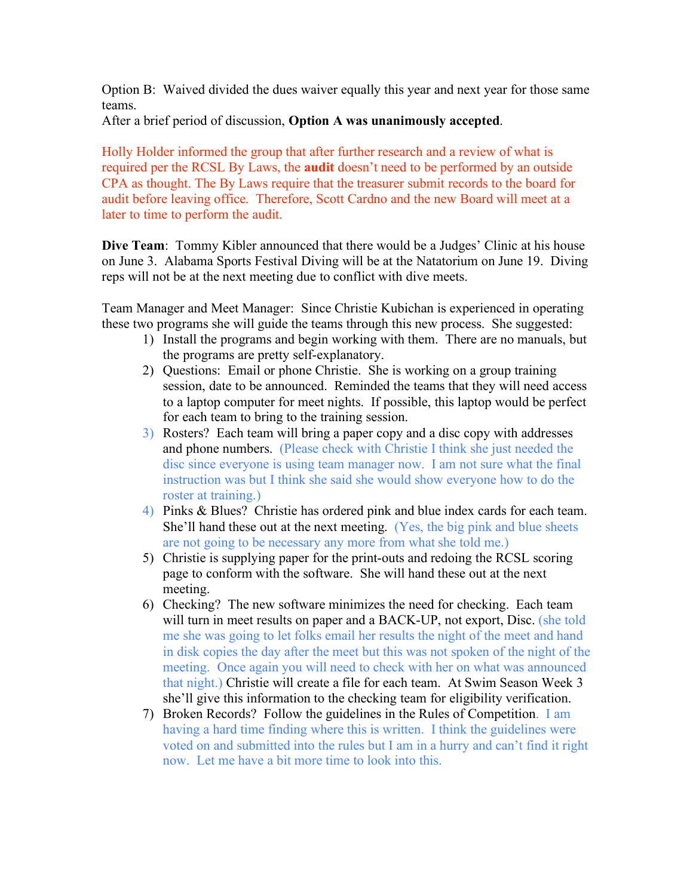Option B: Waived divided the dues waiver equally this year and next year for those same teams.

After a brief period of discussion, **Option A was unanimously accepted**.

Holly Holder informed the group that after further research and a review of what is required per the RCSL By Laws, the **audit** doesn't need to be performed by an outside CPA as thought. The By Laws require that the treasurer submit records to the board for audit before leaving office. Therefore, Scott Cardno and the new Board will meet at a later to time to perform the audit.

**Dive Team**: Tommy Kibler announced that there would be a Judges' Clinic at his house on June 3. Alabama Sports Festival Diving will be at the Natatorium on June 19. Diving reps will not be at the next meeting due to conflict with dive meets.

Team Manager and Meet Manager: Since Christie Kubichan is experienced in operating these two programs she will guide the teams through this new process. She suggested:

- 1) Install the programs and begin working with them. There are no manuals, but the programs are pretty self-explanatory.
- 2) Questions: Email or phone Christie. She is working on a group training session, date to be announced. Reminded the teams that they will need access to a laptop computer for meet nights. If possible, this laptop would be perfect for each team to bring to the training session.
- 3) Rosters? Each team will bring a paper copy and a disc copy with addresses and phone numbers. (Please check with Christie I think she just needed the disc since everyone is using team manager now. I am not sure what the final instruction was but I think she said she would show everyone how to do the roster at training.)
- 4) Pinks & Blues? Christie has ordered pink and blue index cards for each team. She'll hand these out at the next meeting. (Yes, the big pink and blue sheets are not going to be necessary any more from what she told me.)
- 5) Christie is supplying paper for the print-outs and redoing the RCSL scoring page to conform with the software. She will hand these out at the next meeting.
- 6) Checking? The new software minimizes the need for checking. Each team will turn in meet results on paper and a BACK-UP, not export, Disc. (she told me she was going to let folks email her results the night of the meet and hand in disk copies the day after the meet but this was not spoken of the night of the meeting. Once again you will need to check with her on what was announced that night.) Christie will create a file for each team. At Swim Season Week 3 she'll give this information to the checking team for eligibility verification.
- 7) Broken Records? Follow the guidelines in the Rules of Competition. I am having a hard time finding where this is written. I think the guidelines were voted on and submitted into the rules but I am in a hurry and can't find it right now. Let me have a bit more time to look into this.